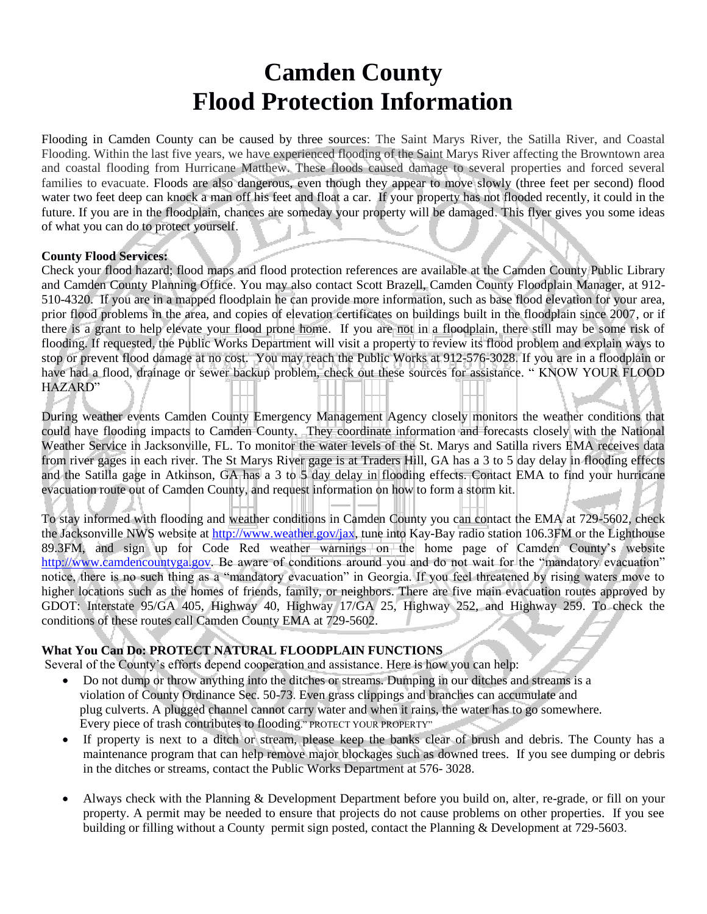# **Camden County Flood Protection Information**

Flooding in Camden County can be caused by three sources: The Saint Marys River, the Satilla River, and Coastal Flooding. Within the last five years, we have experienced flooding of the Saint Marys River affecting the Browntown area and coastal flooding from Hurricane Matthew. These floods caused damage to several properties and forced several families to evacuate. Floods are also dangerous, even though they appear to move slowly (three feet per second) flood water two feet deep can knock a man off his feet and float a car. If your property has not flooded recently, it could in the future. If you are in the floodplain, chances are someday your property will be damaged. This flyer gives you some ideas of what you can do to protect yourself.

#### **County Flood Services:**

Check your flood hazard; flood maps and flood protection references are available at the Camden County Public Library and Camden County Planning Office. You may also contact Scott Brazell, Camden County Floodplain Manager, at 912- 510-4320. If you are in a mapped floodplain he can provide more information, such as base flood elevation for your area, prior flood problems in the area, and copies of elevation certificates on buildings built in the floodplain since 2007, or if there is a grant to help elevate your flood prone home. If you are not in a floodplain, there still may be some risk of flooding. If requested, the Public Works Department will visit a property to review its flood problem and explain ways to stop or prevent flood damage at no cost. You may reach the Public Works at 912-576-3028. If you are in a floodplain or have had a flood, drainage or sewer backup problem, check out these sources for assistance. " KNOW YOUR FLOOD HAZARD"

During weather events Camden County Emergency Management Agency closely monitors the weather conditions that could have flooding impacts to Camden County. They coordinate information and forecasts closely with the National Weather Service in Jacksonville, FL. To monitor the water levels of the St. Marys and Satilla rivers EMA receives data from river gages in each river. The St Marys River gage is at Traders Hill, GA has a 3 to 5 day delay in flooding effects and the Satilla gage in Atkinson, GA has a 3 to 5 day delay in flooding effects. Contact EMA to find your hurricane evacuation route out of Camden County, and request information on how to form a storm kit.

To stay informed with flooding and weather conditions in Camden County you can contact the EMA at 729-5602, check the Jacksonville NWS website at [http://www.weather.gov/jax,](http://www.weather.gov/jax) tune into Kay-Bay radio station 106.3FM or the Lighthouse 89.3FM, and sign up for Code Red weather warnings on the home page of Camden County's website [http://www.camdencountyga.gov.](http://www.camdencountyga.gov/) Be aware of conditions around you and do not wait for the "mandatory evacuation" notice, there is no such thing as a "mandatory evacuation" in Georgia. If you feel threatened by rising waters move to higher locations such as the homes of friends, family, or neighbors. There are five main evacuation routes approved by GDOT: Interstate 95/GA 405, Highway 40, Highway 17/GA 25, Highway 252, and Highway 259. To check the conditions of these routes call Camden County EMA at 729-5602.

## **What You Can Do: PROTECT NATURAL FLOODPLAIN FUNCTIONS**

Several of the County's efforts depend cooperation and assistance. Here is how you can help:

- Do not dump or throw anything into the ditches or streams. Dumping in our ditches and streams is a violation of County Ordinance Sec. 50-73. Even grass clippings and branches can accumulate and plug culverts. A plugged channel cannot carry water and when it rains, the water has to go somewhere. Every piece of trash contributes to flooding." PROTECT YOUR PROPERTY"
- If property is next to a ditch or stream, please keep the banks clear of brush and debris. The County has a maintenance program that can help remove major blockages such as downed trees. If you see dumping or debris in the ditches or streams, contact the Public Works Department at 576- 3028.
- Always check with the Planning & Development Department before you build on, alter, re-grade, or fill on your property. A permit may be needed to ensure that projects do not cause problems on other properties. If you see building or filling without a County permit sign posted, contact the Planning & Development at 729-5603.